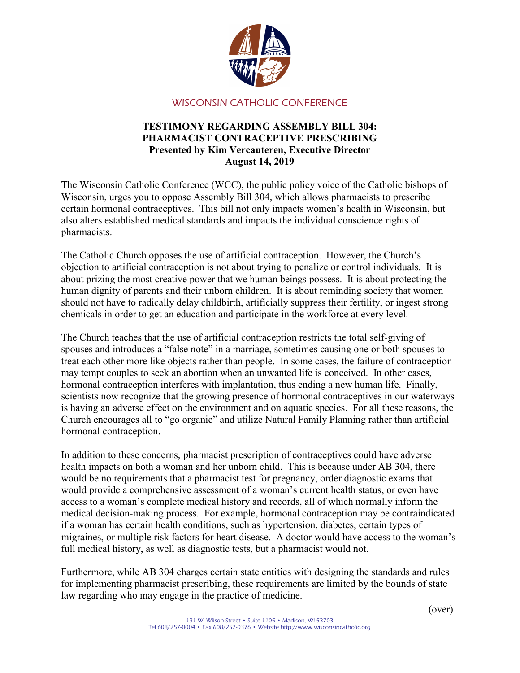

## WISCONSIN CATHOLIC CONFERENCE

## TESTIMONY REGARDING ASSEMBLY BILL 304: PHARMACIST CONTRACEPTIVE PRESCRIBING Presented by Kim Vercauteren, Executive Director August 14, 2019

The Wisconsin Catholic Conference (WCC), the public policy voice of the Catholic bishops of Wisconsin, urges you to oppose Assembly Bill 304, which allows pharmacists to prescribe certain hormonal contraceptives. This bill not only impacts women's health in Wisconsin, but also alters established medical standards and impacts the individual conscience rights of pharmacists.

The Catholic Church opposes the use of artificial contraception. However, the Church's objection to artificial contraception is not about trying to penalize or control individuals. It is about prizing the most creative power that we human beings possess. It is about protecting the human dignity of parents and their unborn children. It is about reminding society that women should not have to radically delay childbirth, artificially suppress their fertility, or ingest strong chemicals in order to get an education and participate in the workforce at every level.

The Church teaches that the use of artificial contraception restricts the total self-giving of spouses and introduces a "false note" in a marriage, sometimes causing one or both spouses to treat each other more like objects rather than people. In some cases, the failure of contraception may tempt couples to seek an abortion when an unwanted life is conceived. In other cases, hormonal contraception interferes with implantation, thus ending a new human life. Finally, scientists now recognize that the growing presence of hormonal contraceptives in our waterways is having an adverse effect on the environment and on aquatic species. For all these reasons, the Church encourages all to "go organic" and utilize Natural Family Planning rather than artificial hormonal contraception.

In addition to these concerns, pharmacist prescription of contraceptives could have adverse health impacts on both a woman and her unborn child. This is because under AB 304, there would be no requirements that a pharmacist test for pregnancy, order diagnostic exams that would provide a comprehensive assessment of a woman's current health status, or even have access to a woman's complete medical history and records, all of which normally inform the medical decision-making process. For example, hormonal contraception may be contraindicated if a woman has certain health conditions, such as hypertension, diabetes, certain types of migraines, or multiple risk factors for heart disease. A doctor would have access to the woman's full medical history, as well as diagnostic tests, but a pharmacist would not.

Furthermore, while AB 304 charges certain state entities with designing the standards and rules for implementing pharmacist prescribing, these requirements are limited by the bounds of state law regarding who may engage in the practice of medicine.